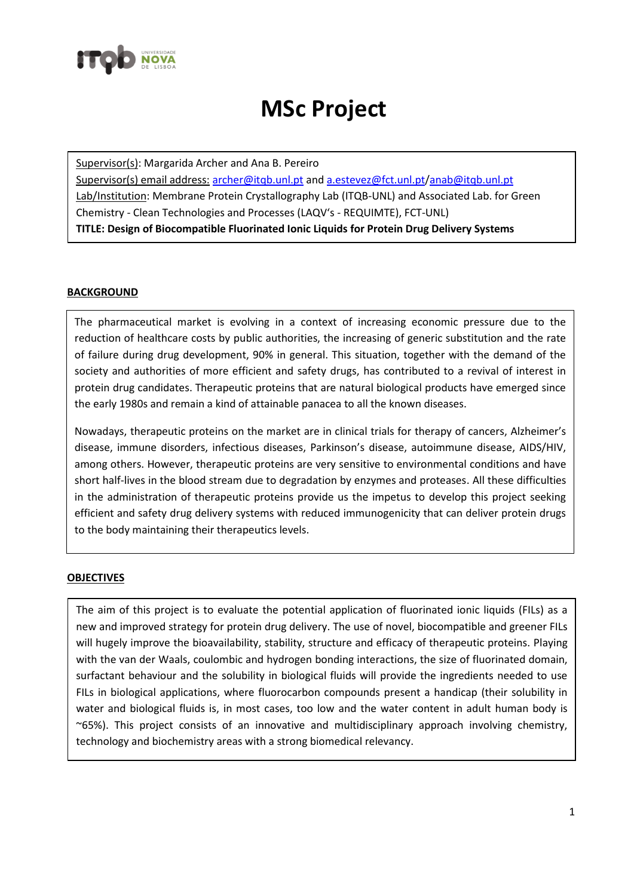

## **MSc Project**

Supervisor(s): Margarida Archer and Ana B. Pereiro Supervisor(s) email address: [archer@itqb.unl.pt](mailto:archer@itqb.unl.pt) an[d a.estevez@fct.unl.pt](mailto:a.estevez@fct.unl.pt)[/anab@itqb.unl.pt](mailto:anab@itqb.unl.pt) Lab/Institution: Membrane Protein Crystallography Lab (ITQB-UNL) and Associated Lab. for Green Chemistry - Clean Technologies and Processes (LAQV's - REQUIMTE), FCT-UNL) **TITLE: Design of Biocompatible Fluorinated Ionic Liquids for Protein Drug Delivery Systems**

## **BACKGROUND**

The pharmaceutical market is evolving in a context of increasing economic pressure due to the reduction of healthcare costs by public authorities, the increasing of generic substitution and the rate of failure during drug development, 90% in general. This situation, together with the demand of the society and authorities of more efficient and safety drugs, has contributed to a revival of interest in protein drug candidates. Therapeutic proteins that are natural biological products have emerged since the early 1980s and remain a kind of attainable panacea to all the known diseases.

Nowadays, therapeutic proteins on the market are in clinical trials for therapy of cancers, Alzheimer's disease, immune disorders, infectious diseases, Parkinson's disease, autoimmune disease, AIDS/HIV, among others. However, therapeutic proteins are very sensitive to environmental conditions and have short half-lives in the blood stream due to degradation by enzymes and proteases. All these difficulties in the administration of therapeutic proteins provide us the impetus to develop this project seeking efficient and safety drug delivery systems with reduced immunogenicity that can deliver protein drugs to the body maintaining their therapeutics levels.

## **OBJECTIVES**

The aim of this project is to evaluate the potential application of fluorinated ionic liquids (FILs) as a new and improved strategy for protein drug delivery. The use of novel, biocompatible and greener FILs will hugely improve the bioavailability, stability, structure and efficacy of therapeutic proteins. Playing with the van der Waals, coulombic and hydrogen bonding interactions, the size of fluorinated domain, surfactant behaviour and the solubility in biological fluids will provide the ingredients needed to use FILs in biological applications, where fluorocarbon compounds present a handicap (their solubility in water and biological fluids is, in most cases, too low and the water content in adult human body is ~65%). This project consists of an innovative and multidisciplinary approach involving chemistry, technology and biochemistry areas with a strong biomedical relevancy.